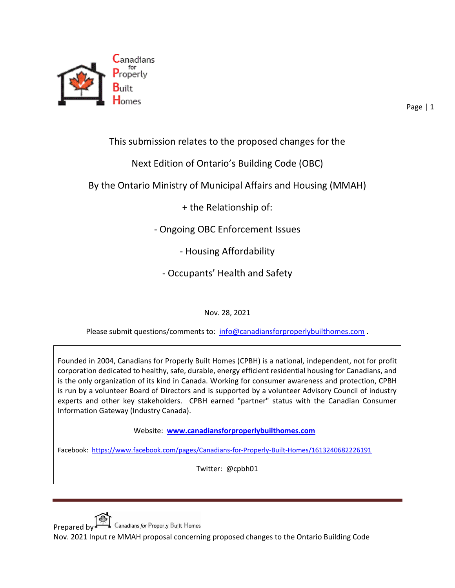

Page | 1

This submission relates to the proposed changes for the

Next Edition of Ontario's Building Code (OBC)

By the Ontario Ministry of Municipal Affairs and Housing (MMAH)

+ the Relationship of:

- Ongoing OBC Enforcement Issues

- Housing Affordability

- Occupants' Health and Safety

Nov. 28, 2021

Please submit questions/comments to: [info@canadiansforproperlybuilthomes.com](mailto:info@canadiansforproperlybuilthomes.com).

Founded in 2004, Canadians for Properly Built Homes (CPBH) is a national, independent, not for profit corporation dedicated to healthy, safe, durable, energy efficient residential housing for Canadians, and is the only organization of its kind in Canada. Working for consumer awareness and protection, CPBH is run by a volunteer Board of Directors and is supported by a volunteer Advisory Council of industry experts and other key stakeholders. CPBH earned "partner" status with the Canadian Consumer Information Gateway (Industry Canada).

Website: **[www.canadiansforproperlybuilthomes.com](http://www.canadiansforproperlybuilthomes.com/)**

Facebook: <https://www.facebook.com/pages/Canadians-for-Properly-Built-Homes/1613240682226191>

Twitter: @cpbh01

Prepared by  $\Box$  Canadians for Properly Built Homes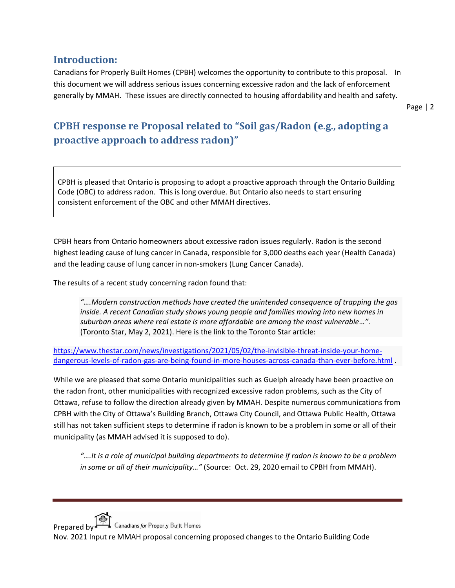### **Introduction:**

Canadians for Properly Built Homes (CPBH) welcomes the opportunity to contribute to this proposal. In this document we will address serious issues concerning excessive radon and the lack of enforcement generally by MMAH. These issues are directly connected to housing affordability and health and safety.

Page | 2

# **CPBH response re Proposal related to "Soil gas/Radon (e.g., adopting a proactive approach to address radon)"**

CPBH is pleased that Ontario is proposing to adopt a proactive approach through the Ontario Building Code (OBC) to address radon. This is long overdue. But Ontario also needs to start ensuring consistent enforcement of the OBC and other MMAH directives.

CPBH hears from Ontario homeowners about excessive radon issues regularly. Radon is the second highest leading cause of lung cancer in Canada, responsible for 3,000 deaths each year (Health Canada) and the leading cause of lung cancer in non-smokers (Lung Cancer Canada).

The results of a recent study concerning radon found that:

*"….Modern construction methods have created the unintended consequence of trapping the gas inside. A recent Canadian study shows young people and families moving into new homes in suburban areas where real estate is more affordable are among the most vulnerable…".* (Toronto Star, May 2, 2021). Here is the link to the Toronto Star article:

[https://www.thestar.com/news/investigations/2021/05/02/the-invisible-threat-inside-your-home](https://www.thestar.com/news/investigations/2021/05/02/the-invisible-threat-inside-your-home-dangerous-levels-of-radon-gas-are-being-found-in-more-houses-across-canada-than-ever-before.html)[dangerous-levels-of-radon-gas-are-being-found-in-more-houses-across-canada-than-ever-before.html](https://www.thestar.com/news/investigations/2021/05/02/the-invisible-threat-inside-your-home-dangerous-levels-of-radon-gas-are-being-found-in-more-houses-across-canada-than-ever-before.html) .

While we are pleased that some Ontario municipalities such as Guelph already have been proactive on the radon front, other municipalities with recognized excessive radon problems, such as the City of Ottawa, refuse to follow the direction already given by MMAH. Despite numerous communications from CPBH with the City of Ottawa's Building Branch, Ottawa City Council, and Ottawa Public Health, Ottawa still has not taken sufficient steps to determine if radon is known to be a problem in some or all of their municipality (as MMAH advised it is supposed to do).

*"….It is a role of municipal building departments to determine if radon is known to be a problem in some or all of their municipality…"* (Source: Oct. 29, 2020 email to CPBH from MMAH).

Prepared by  $\Box$  Canadians for Properly Built Homes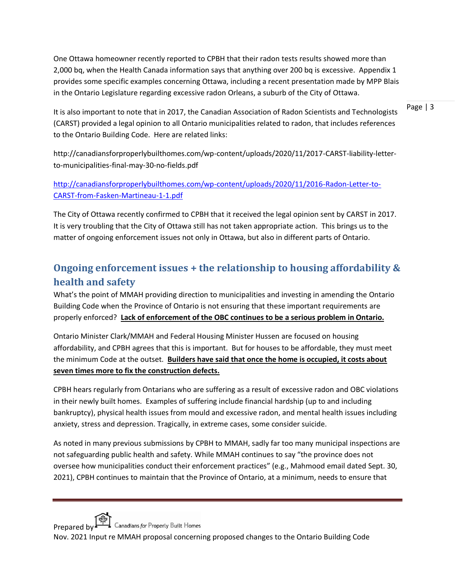One Ottawa homeowner recently reported to CPBH that their radon tests results showed more than 2,000 bq, when the Health Canada information says that anything over 200 bq is excessive. Appendix 1 provides some specific examples concerning Ottawa, including a recent presentation made by MPP Blais in the Ontario Legislature regarding excessive radon Orleans, a suburb of the City of Ottawa.

Page | 3 It is also important to note that in 2017, the Canadian Association of Radon Scientists and Technologists (CARST) provided a legal opinion to all Ontario municipalities related to radon, that includes references to the Ontario Building Code. Here are related links:

http://canadiansforproperlybuilthomes.com/wp-content/uploads/2020/11/2017-CARST-liability-letterto-municipalities-final-may-30-no-fields.pdf

[http://canadiansforproperlybuilthomes.com/wp-content/uploads/2020/11/2016-Radon-Letter-to-](http://canadiansforproperlybuilthomes.com/wp-content/uploads/2020/11/2016-Radon-Letter-to-CARST-from-Fasken-Martineau-1-1.pdf)[CARST-from-Fasken-Martineau-1-1.pdf](http://canadiansforproperlybuilthomes.com/wp-content/uploads/2020/11/2016-Radon-Letter-to-CARST-from-Fasken-Martineau-1-1.pdf)

The City of Ottawa recently confirmed to CPBH that it received the legal opinion sent by CARST in 2017. It is very troubling that the City of Ottawa still has not taken appropriate action. This brings us to the matter of ongoing enforcement issues not only in Ottawa, but also in different parts of Ontario.

## **Ongoing enforcement issues + the relationship to housing affordability & health and safety**

What's the point of MMAH providing direction to municipalities and investing in amending the Ontario Building Code when the Province of Ontario is not ensuring that these important requirements are properly enforced? **Lack of enforcement of the OBC continues to be a serious problem in Ontario.**

Ontario Minister Clark/MMAH and Federal Housing Minister Hussen are focused on housing affordability, and CPBH agrees that this is important. But for houses to be affordable, they must meet the minimum Code at the outset. **Builders have said that once the home is occupied, it costs about seven times more to fix the construction defects.**

CPBH hears regularly from Ontarians who are suffering as a result of excessive radon and OBC violations in their newly built homes. Examples of suffering include financial hardship (up to and including bankruptcy), physical health issues from mould and excessive radon, and mental health issues including anxiety, stress and depression. Tragically, in extreme cases, some consider suicide.

As noted in many previous submissions by CPBH to MMAH, sadly far too many municipal inspections are not safeguarding public health and safety. While MMAH continues to say "the province does not oversee how municipalities conduct their enforcement practices" (e.g., Mahmood email dated Sept. 30, 2021), CPBH continues to maintain that the Province of Ontario, at a minimum, needs to ensure that

Prepared by  $\Box$  Canadians for Properly Built Homes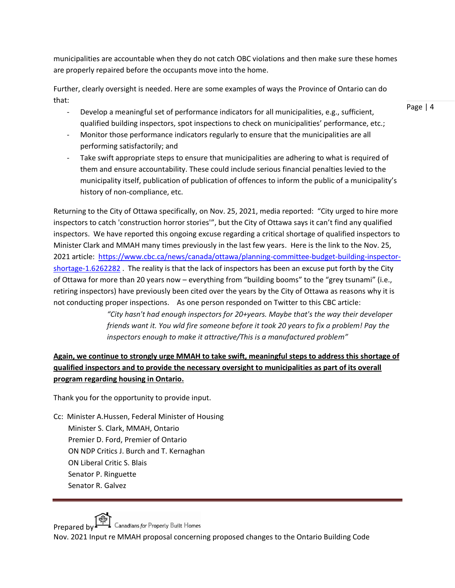municipalities are accountable when they do not catch OBC violations and then make sure these homes are properly repaired before the occupants move into the home.

Further, clearly oversight is needed. Here are some examples of ways the Province of Ontario can do that:

- Develop a meaningful set of performance indicators for all municipalities, e.g., sufficient, qualified building inspectors, spot inspections to check on municipalities' performance, etc.;
- Monitor those performance indicators regularly to ensure that the municipalities are all performing satisfactorily; and
- Take swift appropriate steps to ensure that municipalities are adhering to what is required of them and ensure accountability. These could include serious financial penalties levied to the municipality itself, publication of publication of offences to inform the public of a municipality's history of non-compliance, etc.

Returning to the City of Ottawa specifically, on Nov. 25, 2021, media reported: "City urged to hire more inspectors to catch 'construction horror stories'", but the City of Ottawa says it can't find any qualified inspectors. We have reported this ongoing excuse regarding a critical shortage of qualified inspectors to Minister Clark and MMAH many times previously in the last few years. Here is the link to the Nov. 25, 2021 article: [https://www.cbc.ca/news/canada/ottawa/planning-committee-budget-building-inspector](https://www.cbc.ca/news/canada/ottawa/planning-committee-budget-building-inspector-shortage-1.6262282)[shortage-1.6262282](https://www.cbc.ca/news/canada/ottawa/planning-committee-budget-building-inspector-shortage-1.6262282). The reality is that the lack of inspectors has been an excuse put forth by the City of Ottawa for more than 20 years now – everything from "building booms" to the "grey tsunami" (i.e., retiring inspectors) have previously been cited over the years by the City of Ottawa as reasons why it is not conducting proper inspections. As one person responded on Twitter to this CBC article:

> *"City hasn't had enough inspectors for 20+years. Maybe that's the way their developer friends want it. You wld fire someone before it took 20 years to fix a problem! Pay the inspectors enough to make it attractive/This is a manufactured problem"*

#### **Again, we continue to strongly urge MMAH to take swift, meaningful steps to address this shortage of qualified inspectors and to provide the necessary oversight to municipalities as part of its overall program regarding housing in Ontario.**

Thank you for the opportunity to provide input.

Cc: Minister A.Hussen, Federal Minister of Housing Minister S. Clark, MMAH, Ontario Premier D. Ford, Premier of Ontario ON NDP Critics J. Burch and T. Kernaghan ON Liberal Critic S. Blais Senator P. Ringuette Senator R. Galvez

Prepared by  $\Box$  Canadians for Properly Built Homes

Nov. 2021 Input re MMAH proposal concerning proposed changes to the Ontario Building Code

Page | 4